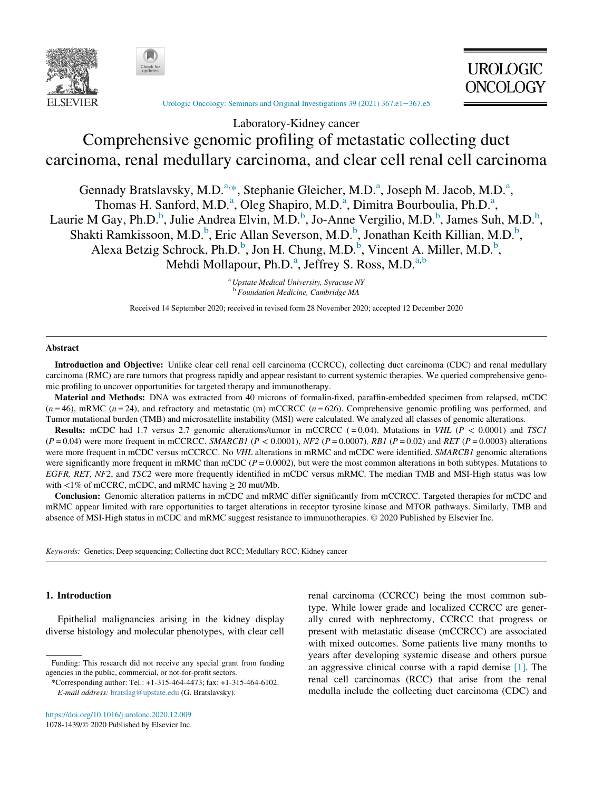



[Urologic Oncology: Seminars and Original Investigations 39 \(2021\) 367.e1](https://doi.org/10.1016/j.urolonc.2020.12.009)−367.e5

# Laboratory-Kidney cancer Comprehensive genomic profiling of metastatic collecting duct carcinoma, renal medullary carcinoma, and clear cell renal cell carcinoma

Gennady Bratslavsky, M.D.<sup>[a,](#page-0-0)\*</sup>, Steph[a](#page-0-0)nie Gleicher, M.D.<sup>a</sup>, Joseph M. Jacob, M.D.<sup>a</sup>, Thom[a](#page-0-0)s H. Sanford, M.D.<sup>a</sup>, Oleg Shapiro, M.D.<sup>a</sup>, Dimitra Bourboulia, Ph.D.<sup>a</sup>, Laurie M Gay, Ph.D.<sup>[b](#page-0-2)</sup>, Julie Andrea Elvin, M.D.<sup>b</sup>, Jo-Anne Vergilio, M.D.<sup>b</sup>, James Suh, M.D.<sup>b</sup>, Shakti Ramkissoon, M.D.<sup>[b](#page-0-2)</sup>, Eric Allan Severson, M.D.<sup>b</sup>, Jonathan Keith Killian, M.D.<sup>b</sup>, Alexa Betzig Schrock, Ph.D.<sup>[b](#page-0-2)</sup>, Jon H. Chung, M.D.<sup>b</sup>, Vincent A. Miller, M.D.<sup>b</sup>, Mehdi Moll[a](#page-0-0)pour, Ph.D.<sup>a</sup>, Jeffrey S. Ross, M.D.<sup>a,[b](#page-0-2)</sup>

> <sup>a</sup> Upstate Medical University, Syracuse NY <sup>b</sup> Foundation Medicine, Cambridge MA

Received 14 September 2020; received in revised form 28 November 2020; accepted 12 December 2020

### <span id="page-0-2"></span><span id="page-0-0"></span>Abstract

Introduction and Objective: Unlike clear cell renal cell carcinoma (CCRCC), collecting duct carcinoma (CDC) and renal medullary carcinoma (RMC) are rare tumors that progress rapidly and appear resistant to current systemic therapies. We queried comprehensive genomic profiling to uncover opportunities for targeted therapy and immunotherapy.

Material and Methods: DNA was extracted from 40 microns of formalin-fixed, paraffin-embedded specimen from relapsed, mCDC  $(n = 46)$ , mRMC  $(n = 24)$ , and refractory and metastatic (m) mCCRCC  $(n = 626)$ . Comprehensive genomic profiling was performed, and Tumor mutational burden (TMB) and microsatellite instability (MSI) were calculated. We analyzed all classes of genomic alterations.

**Results:** mCDC had 1.7 versus 2.7 genomic alterations/tumor in mCCRCC (=0.04). Mutations in VHL ( $P < 0.0001$ ) and TSC1  $(P = 0.04)$  were more frequent in mCCRCC. SMARCB1 ( $P < 0.0001$ ), NF2 ( $P = 0.0007$ ), RB1 ( $P = 0.02$ ) and RET ( $P = 0.0003$ ) alterations were more frequent in mCDC versus mCCRCC. No VHL alterations in mRMC and mCDC were identified. SMARCB1 genomic alterations were significantly more frequent in mRMC than mCDC ( $P = 0.0002$ ), but were the most common alterations in both subtypes. Mutations to EGFR, RET, NF2, and TSC2 were more frequently identified in mCDC versus mRMC. The median TMB and MSI-High status was low with  $\langle 1\% \text{ of mCCRC}, \text{mCDC}, \text{ and mRMC having } \geq 20 \text{ mut/Mb}.$ 

Conclusion: Genomic alteration patterns in mCDC and mRMC differ significantly from mCCRCC. Targeted therapies for mCDC and mRMC appear limited with rare opportunities to target alterations in receptor tyrosine kinase and MTOR pathways. Similarly, TMB and absence of MSI-High status in mCDC and mRMC suggest resistance to immunotherapies. © 2020 Published by Elsevier Inc.

Keywords: Genetics; Deep sequencing; Collecting duct RCC; Medullary RCC; Kidney cancer

## 1. Introduction

Epithelial malignancies arising in the kidney display diverse histology and molecular phenotypes, with clear cell

<https://doi.org/10.1016/j.urolonc.2020.12.009> 1078-1439/© 2020 Published by Elsevier Inc. renal carcinoma (CCRCC) being the most common subtype. While lower grade and localized CCRCC are generally cured with nephrectomy, CCRCC that progress or present with metastatic disease (mCCRCC) are associated with mixed outcomes. Some patients live many months to years after developing systemic disease and others pursue an aggressive clinical course with a rapid demise [\[1\]](#page-4-0). The renal cell carcinomas (RCC) that arise from the renal medulla include the collecting duct carcinoma (CDC) and

**UROLOGIC ONCOLOGY** 

<span id="page-0-1"></span>Funding: This research did not receive any special grant from funding agencies in the public, commercial, or not-for-profit sectors.

<sup>\*</sup>Corresponding author: Tel.: +1-315-464-4473; fax: +1-315-464-6102. E-mail address: [bratslag@upstate.edu](mailto:bratslag@upstate.edu) (G. Bratslavsky).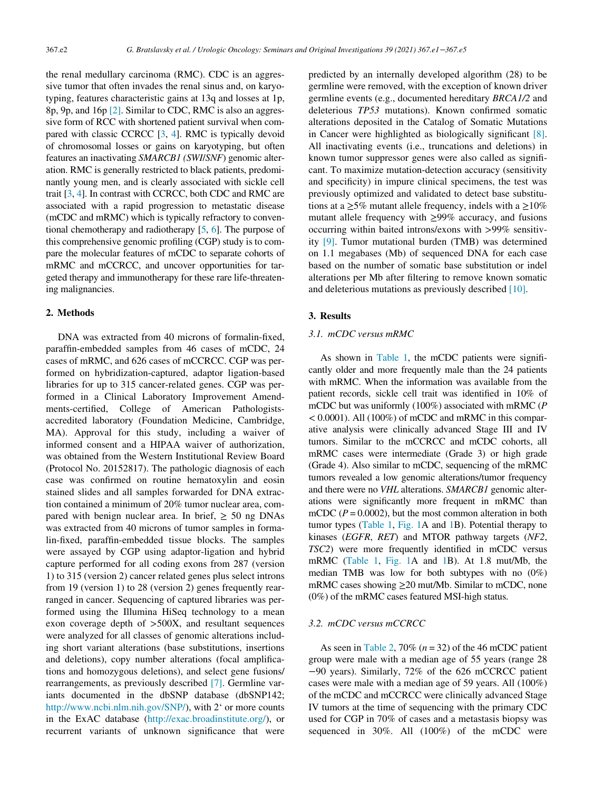the renal medullary carcinoma (RMC). CDC is an aggressive tumor that often invades the renal sinus and, on karyotyping, features characteristic gains at 13q and losses at 1p, 8p, 9p, and 16p [\[2\]](#page-4-1). Similar to CDC, RMC is also an aggressive form of RCC with shortened patient survival when compared with classic CCRCC [[3,](#page-4-2) [4\]](#page-4-3). RMC is typically devoid of chromosomal losses or gains on karyotyping, but often features an inactivating SMARCB1 (SWI/SNF) genomic alteration. RMC is generally restricted to black patients, predominantly young men, and is clearly associated with sickle cell trait [\[3](#page-4-2), [4\]](#page-4-3). In contrast with CCRCC, both CDC and RMC are associated with a rapid progression to metastatic disease (mCDC and mRMC) which is typically refractory to conventional chemotherapy and radiotherapy [[5](#page-4-4), [6\]](#page-4-5). The purpose of this comprehensive genomic profiling (CGP) study is to compare the molecular features of mCDC to separate cohorts of mRMC and mCCRCC, and uncover opportunities for targeted therapy and immunotherapy for these rare life-threatening malignancies.

## 2. Methods

DNA was extracted from 40 microns of formalin-fixed, paraffin-embedded samples from 46 cases of mCDC, 24 cases of mRMC, and 626 cases of mCCRCC. CGP was performed on hybridization-captured, adaptor ligation-based libraries for up to 315 cancer-related genes. CGP was performed in a Clinical Laboratory Improvement Amendments-certified, College of American Pathologistsaccredited laboratory (Foundation Medicine, Cambridge, MA). Approval for this study, including a waiver of informed consent and a HIPAA waiver of authorization, was obtained from the Western Institutional Review Board (Protocol No. 20152817). The pathologic diagnosis of each case was confirmed on routine hematoxylin and eosin stained slides and all samples forwarded for DNA extraction contained a minimum of 20% tumor nuclear area, compared with benign nuclear area. In brief,  $\geq$  50 ng DNAs was extracted from 40 microns of tumor samples in formalin-fixed, paraffin-embedded tissue blocks. The samples were assayed by CGP using adaptor-ligation and hybrid capture performed for all coding exons from 287 (version 1) to 315 (version 2) cancer related genes plus select introns from 19 (version 1) to 28 (version 2) genes frequently rearranged in cancer. Sequencing of captured libraries was performed using the Illumina HiSeq technology to a mean exon coverage depth of >500X, and resultant sequences were analyzed for all classes of genomic alterations including short variant alterations (base substitutions, insertions and deletions), copy number alterations (focal amplifications and homozygous deletions), and select gene fusions/ rearrangements, as previously described [\[7\].](#page-4-6) Germline variants documented in the dbSNP database (dbSNP142; [http://www.ncbi.nlm.nih.gov/SNP/\)](http://www.ncbi.nlm.nih.gov/SNP/), with 2' or more counts in the ExAC database (<http://exac.broadinstitute.org/>), or recurrent variants of unknown significance that were

predicted by an internally developed algorithm (28) to be germline were removed, with the exception of known driver germline events (e.g., documented hereditary BRCA1/2 and deleterious TP53 mutations). Known confirmed somatic alterations deposited in the Catalog of Somatic Mutations in Cancer were highlighted as biologically significant [\[8\].](#page-4-7) All inactivating events (i.e., truncations and deletions) in known tumor suppressor genes were also called as significant. To maximize mutation-detection accuracy (sensitivity and specificity) in impure clinical specimens, the test was previously optimized and validated to detect base substitutions at a  $\geq$ 5% mutant allele frequency, indels with a  $\geq$ 10% mutant allele frequency with  $\geq$ 99% accuracy, and fusions occurring within baited introns/exons with >99% sensitivity [\[9\]](#page-4-8). Tumor mutational burden (TMB) was determined on 1.1 megabases (Mb) of sequenced DNA for each case based on the number of somatic base substitution or indel alterations per Mb after filtering to remove known somatic and deleterious mutations as previously described [\[10\].](#page-4-9)

## 3. Results

## 3.1. mCDC versus mRMC

As shown in [Table 1,](#page-2-0) the mCDC patients were significantly older and more frequently male than the 24 patients with mRMC. When the information was available from the patient records, sickle cell trait was identified in 10% of mCDC but was uniformly (100%) associated with mRMC (P  $<$  0.0001). All (100%) of mCDC and mRMC in this comparative analysis were clinically advanced Stage III and IV tumors. Similar to the mCCRCC and mCDC cohorts, all mRMC cases were intermediate (Grade 3) or high grade (Grade 4). Also similar to mCDC, sequencing of the mRMC tumors revealed a low genomic alterations/tumor frequency and there were no VHL alterations. SMARCB1 genomic alterations were significantly more frequent in mRMC than mCDC ( $P = 0.0002$ ), but the most common alteration in both tumor types ([Table 1](#page-2-0), [Fig. 1](#page-2-1)A and [1B](#page-2-1)). Potential therapy to kinases (EGFR, RET) and MTOR pathway targets (NF2, TSC2) were more frequently identified in mCDC versus mRMC ([Table 1,](#page-2-0) [Fig. 1A](#page-2-1) and [1B](#page-2-1)). At 1.8 mut/Mb, the median TMB was low for both subtypes with no (0%) mRMC cases showing  $\geq 20$  mut/Mb. Similar to mCDC, none (0%) of the mRMC cases featured MSI-high status.

## 3.2. mCDC versus mCCRCC

As seen in [Table 2](#page-2-2), 70% ( $n = 32$ ) of the 46 mCDC patient group were male with a median age of 55 years (range 28 −90 years). Similarly, 72% of the 626 mCCRCC patient cases were male with a median age of 59 years. All (100%) of the mCDC and mCCRCC were clinically advanced Stage IV tumors at the time of sequencing with the primary CDC used for CGP in 70% of cases and a metastasis biopsy was sequenced in 30%. All (100%) of the mCDC were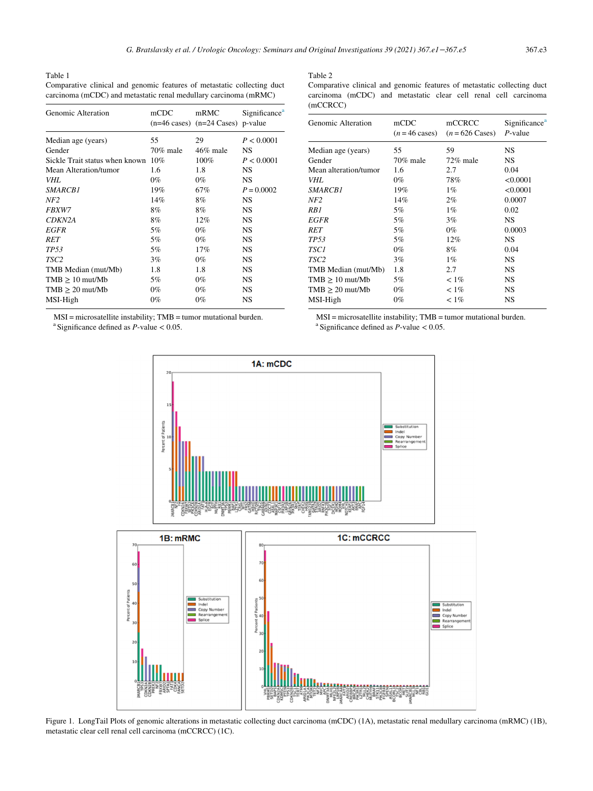<span id="page-2-2"></span><span id="page-2-0"></span>Table 1 Comparative clinical and genomic features of metastatic collecting duct carcinoma (mCDC) and metastatic renal medullary carcinoma (mRMC)

| Genomic Alteration                 | mCDC     | mRMC<br>$(n=46 \text{ cases})$ $(n=24 \text{ Cases})$ | Significance <sup>a</sup><br>p-value |
|------------------------------------|----------|-------------------------------------------------------|--------------------------------------|
| Median age (years)                 | 55       | 29                                                    | P < 0.0001                           |
| Gender                             | 70% male | $46\%$ male                                           | NS                                   |
| Sickle Trait status when known 10% |          | 100%                                                  | P < 0.0001                           |
| Mean Alteration/tumor              | 1.6      | 1.8                                                   | NS                                   |
| VHL                                | $0\%$    | $0\%$                                                 | <b>NS</b>                            |
| <i>SMARCB1</i>                     | 19%      | 67%                                                   | $P = 0.0002$                         |
| NF <sub>2</sub>                    | 14%      | 8%                                                    | <b>NS</b>                            |
| <i>FBXW7</i>                       | 8%       | 8%                                                    | <b>NS</b>                            |
| CDKN2A                             | 8%       | 12%                                                   | <b>NS</b>                            |
| <i>EGFR</i>                        | 5%       | $0\%$                                                 | <b>NS</b>                            |
| <b>RET</b>                         | 5%       | $0\%$                                                 | <b>NS</b>                            |
| TP <sub>53</sub>                   | 5%       | 17%                                                   | <b>NS</b>                            |
| TSC <sub>2</sub>                   | 3%       | $0\%$                                                 | <b>NS</b>                            |
| TMB Median (mut/Mb)                | 1.8      | 1.8                                                   | NS                                   |
| $TMB \geq 10$ mut/Mb               | 5%       | $0\%$                                                 | <b>NS</b>                            |
| $TMB \geq 20$ mut/Mb               | $0\%$    | $0\%$                                                 | <b>NS</b>                            |
| MSI-High                           | $0\%$    | $0\%$                                                 | NS                                   |
|                                    |          |                                                       |                                      |

<span id="page-2-4"></span><span id="page-2-3"></span>MSI = microsatellite instability; TMB = tumor mutational burden. <sup>a</sup> Significance defined as  $P$ -value < 0.05.

<span id="page-2-1"></span>

Table 2

| Comparative clinical and genomic features of metastatic collecting duct |  |  |  |  |
|-------------------------------------------------------------------------|--|--|--|--|
| carcinoma (mCDC) and metastatic clear cell renal cell carcinoma         |  |  |  |  |
| (mCERC)                                                                 |  |  |  |  |

| Genomic Alteration    | mCDC<br>$(n=46 \text{ cases})$ | mCCRCC<br>$(n=626 \text{ Cases})$ | Significance <sup>a</sup><br>$P$ -value |
|-----------------------|--------------------------------|-----------------------------------|-----------------------------------------|
| Median age (years)    | 55                             | 59                                | <b>NS</b>                               |
| Gender                | 70% male                       | $72\%$ male                       | NS                                      |
| Mean alteration/tumor | 1.6                            | 2.7                               | 0.04                                    |
| VHL                   | $0\%$                          | 78%                               | < 0.0001                                |
| <i>SMARCB1</i>        | 19%                            | $1\%$                             | < 0.0001                                |
| NF2                   | 14%                            | $2\%$                             | 0.0007                                  |
| RB1                   | 5%                             | $1\%$                             | 0.02                                    |
| <b>EGFR</b>           | 5%                             | $3\%$                             | <b>NS</b>                               |
| RET                   | 5%                             | $0\%$                             | 0.0003                                  |
| TP53                  | 5%                             | 12%                               | NS                                      |
| <i>TSC1</i>           | $0\%$                          | 8%                                | 0.04                                    |
| TSC <sub>2</sub>      | 3%                             | $1\%$                             | <b>NS</b>                               |
| TMB Median (mut/Mb)   | 1.8                            | 2.7                               | NS                                      |
| $TMB \geq 10$ mut/Mb  | 5%                             | $< 1\%$                           | NS                                      |
| $TMB \geq 20$ mut/Mb  | $0\%$                          | $< 1\%$                           | <b>NS</b>                               |
| MSI-High              | 0%                             | $< 1\%$                           | NS                                      |

MSI = microsatellite instability; TMB = tumor mutational burden. <sup>a</sup> Significance defined as  $P$ -value  $< 0.05$ .



Figure 1. LongTail Plots of genomic alterations in metastatic collecting duct carcinoma (mCDC) (1A), metastatic renal medullary carcinoma (mRMC) (1B), metastatic clear cell renal cell carcinoma (mCCRCC) (1C).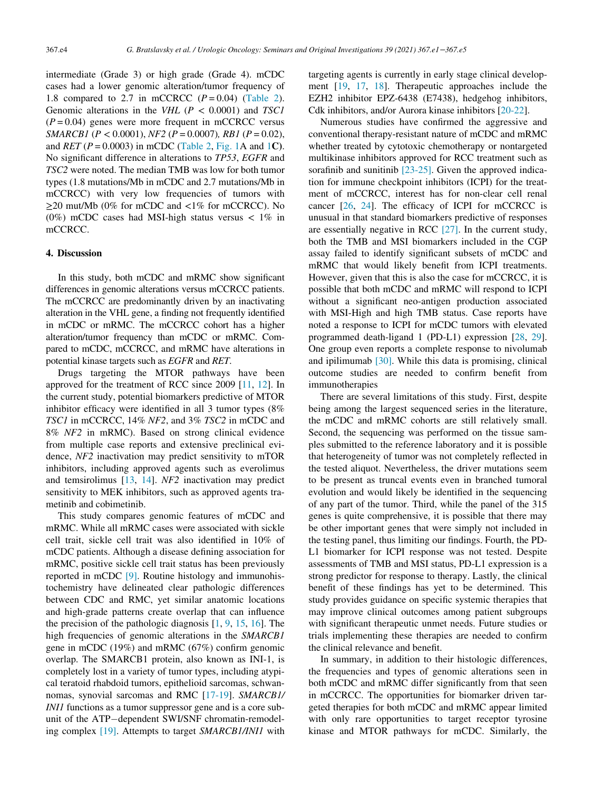intermediate (Grade 3) or high grade (Grade 4). mCDC cases had a lower genomic alteration/tumor frequency of 1.8 compared to 2.7 in mCCRCC  $(P=0.04)$  [\(Table 2](#page-2-2)). Genomic alterations in the VHL ( $P < 0.0001$ ) and TSC1  $(P = 0.04)$  genes were more frequent in mCCRCC versus SMARCB1 ( $P < 0.0001$ ),  $NF2$  ( $P = 0.0007$ ),  $RB1$  ( $P = 0.02$ ), and  $RET (P = 0.0003)$  in mCDC ([Table 2](#page-2-2), [Fig. 1](#page-2-1)A and [1](#page-2-1)C). No significant difference in alterations to TP53, EGFR and TSC2 were noted. The median TMB was low for both tumor types (1.8 mutations/Mb in mCDC and 2.7 mutations/Mb in mCCRCC) with very low frequencies of tumors with  $\geq$ 20 mut/Mb (0% for mCDC and <1% for mCCRCC). No (0%) mCDC cases had MSI-high status versus  $\langle 1\% \rangle$  in mCCRCC.

## 4. Discussion

In this study, both mCDC and mRMC show significant differences in genomic alterations versus mCCRCC patients. The mCCRCC are predominantly driven by an inactivating alteration in the VHL gene, a finding not frequently identified in mCDC or mRMC. The mCCRCC cohort has a higher alteration/tumor frequency than mCDC or mRMC. Compared to mCDC, mCCRCC, and mRMC have alterations in potential kinase targets such as EGFR and RET.

Drugs targeting the MTOR pathways have been approved for the treatment of RCC since 2009 [\[11](#page-4-10), [12\]](#page-4-11). In the current study, potential biomarkers predictive of MTOR inhibitor efficacy were identified in all 3 tumor types (8% TSC1 in mCCRCC, 14% NF2, and 3% TSC2 in mCDC and 8% NF2 in mRMC). Based on strong clinical evidence from multiple case reports and extensive preclinical evidence, NF2 inactivation may predict sensitivity to mTOR inhibitors, including approved agents such as everolimus and temsirolimus [[13,](#page-4-12) [14\]](#page-4-13). NF2 inactivation may predict sensitivity to MEK inhibitors, such as approved agents trametinib and cobimetinib.

This study compares genomic features of mCDC and mRMC. While all mRMC cases were associated with sickle cell trait, sickle cell trait was also identified in 10% of mCDC patients. Although a disease defining association for mRMC, positive sickle cell trait status has been previously reported in mCDC [\[9\]](#page-4-8). Routine histology and immunohistochemistry have delineated clear pathologic differences between CDC and RMC, yet similar anatomic locations and high-grade patterns create overlap that can influence the precision of the pathologic diagnosis [\[1](#page-4-0), [9,](#page-4-8) [15,](#page-4-14) [16](#page-4-15)]. The high frequencies of genomic alterations in the SMARCB1 gene in mCDC (19%) and mRMC (67%) confirm genomic overlap. The SMARCB1 protein, also known as INI-1, is completely lost in a variety of tumor types, including atypical teratoid rhabdoid tumors, epithelioid sarcomas, schwannomas, synovial sarcomas and RMC [[17-19](#page-4-16)]. SMARCB1/ INI1 functions as a tumor suppressor gene and is a core subunit of the ATP-dependent SWI/SNF chromatin-remodeling complex [\[19\].](#page-4-17) Attempts to target SMARCB1/INI1 with

targeting agents is currently in early stage clinical development [\[19](#page-4-17), [17](#page-4-16), [18\]](#page-4-18). Therapeutic approaches include the EZH2 inhibitor EPZ-6438 (E7438), hedgehog inhibitors, Cdk inhibitors, and/or Aurora kinase inhibitors [[20-22\]](#page-4-19).

Numerous studies have confirmed the aggressive and conventional therapy-resistant nature of mCDC and mRMC whether treated by cytotoxic chemotherapy or nontargeted multikinase inhibitors approved for RCC treatment such as sorafinib and sunitinib [\[23-25\]](#page-4-20). Given the approved indication for immune checkpoint inhibitors (ICPI) for the treatment of mCCRCC, interest has for non-clear cell renal cancer [[26,](#page-4-21) [24\]](#page-4-22). The efficacy of ICPI for mCCRCC is unusual in that standard biomarkers predictive of responses are essentially negative in RCC [\[27\].](#page-4-23) In the current study, both the TMB and MSI biomarkers included in the CGP assay failed to identify significant subsets of mCDC and mRMC that would likely benefit from ICPI treatments. However, given that this is also the case for mCCRCC, it is possible that both mCDC and mRMC will respond to ICPI without a significant neo-antigen production associated with MSI-High and high TMB status. Case reports have noted a response to ICPI for mCDC tumors with elevated programmed death-ligand 1 (PD-L1) expression [[28,](#page-4-24) [29](#page-4-25)]. One group even reports a complete response to nivolumab and ipilimumab [\[30\]](#page-4-26). While this data is promising, clinical outcome studies are needed to confirm benefit from immunotherapies

There are several limitations of this study. First, despite being among the largest sequenced series in the literature, the mCDC and mRMC cohorts are still relatively small. Second, the sequencing was performed on the tissue samples submitted to the reference laboratory and it is possible that heterogeneity of tumor was not completely reflected in the tested aliquot. Nevertheless, the driver mutations seem to be present as truncal events even in branched tumoral evolution and would likely be identified in the sequencing of any part of the tumor. Third, while the panel of the 315 genes is quite comprehensive, it is possible that there may be other important genes that were simply not included in the testing panel, thus limiting our findings. Fourth, the PD-L1 biomarker for ICPI response was not tested. Despite assessments of TMB and MSI status, PD-L1 expression is a strong predictor for response to therapy. Lastly, the clinical benefit of these findings has yet to be determined. This study provides guidance on specific systemic therapies that may improve clinical outcomes among patient subgroups with significant therapeutic unmet needs. Future studies or trials implementing these therapies are needed to confirm the clinical relevance and benefit.

In summary, in addition to their histologic differences, the frequencies and types of genomic alterations seen in both mCDC and mRMC differ significantly from that seen in mCCRCC. The opportunities for biomarker driven targeted therapies for both mCDC and mRMC appear limited with only rare opportunities to target receptor tyrosine kinase and MTOR pathways for mCDC. Similarly, the